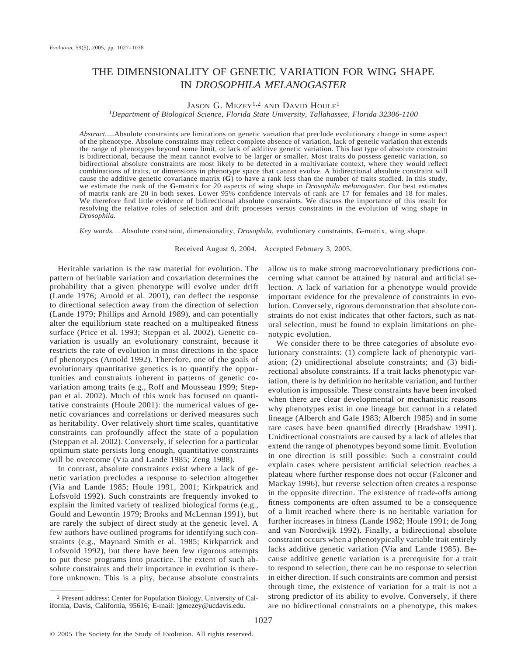# THE DIMENSIONALITY OF GENETIC VARIATION FOR WING SHAPE IN *DROSOPHILA MELANOGASTER*

## JASON G. MEZEY<sup>1,2</sup> AND DAVID HOULE<sup>1</sup>

<sup>1</sup>*Department of Biological Science, Florida State University, Tallahassee, Florida 32306-1100*

*Abstract.* Absolute constraints are limitations on genetic variation that preclude evolutionary change in some aspect of the phenotype. Absolute constraints may reflect complete absence of variation, lack of genetic variation that extends the range of phenotypes beyond some limit, or lack of additive genetic variation. This last type of absolute constraint is bidirectional, because the mean cannot evolve to be larger or smaller. Most traits do possess genetic variation, so bidirectional absolute constraints are most likely to be detected in a multivariate context, where they would reflect combinations of traits, or dimensions in phenotype space that cannot evolve. A bidirectional absolute constraint will cause the additive genetic covariance matrix  $(G)$  to have a rank less than the number of traits studied. In this study, we estimate the rank of the **G**-matrix for 20 aspects of wing shape in *Drosophila melanogaster*. Our best estimates of matrix rank are 20 in both sexes. Lower 95% confidence intervals of rank are 17 for females and 18 for males. We therefore find little evidence of bidirectional absolute constraints. We discuss the importance of this result for resolving the relative roles of selection and drift processes versus constraints in the evolution of wing shape in *Drosophila*.

*Key words.* Absolute constraint, dimensionality, *Drosophila*, evolutionary constraints, **G**-matrix, wing shape.

Received August 9, 2004. Accepted February 3, 2005.

Heritable variation is the raw material for evolution. The pattern of heritable variation and covariation determines the probability that a given phenotype will evolve under drift (Lande 1976; Arnold et al. 2001), can deflect the response to directional selection away from the direction of selection (Lande 1979; Phillips and Arnold 1989), and can potentially alter the equilibrium state reached on a multipeaked fitness surface (Price et al. 1993; Steppan et al. 2002). Genetic covariation is usually an evolutionary constraint, because it restricts the rate of evolution in most directions in the space of phenotypes (Arnold 1992). Therefore, one of the goals of evolutionary quantitative genetics is to quantify the opportunities and constraints inherent in patterns of genetic covariation among traits (e.g., Roff and Mousseau 1999; Steppan et al. 2002). Much of this work has focused on quantitative constraints (Houle 2001): the numerical values of genetic covariances and correlations or derived measures such as heritability. Over relatively short time scales, quantitative constraints can profoundly affect the state of a population (Steppan et al. 2002). Conversely, if selection for a particular optimum state persists long enough, quantitative constraints will be overcome (Via and Lande 1985; Zeng 1988).

In contrast, absolute constraints exist where a lack of genetic variation precludes a response to selection altogether (Via and Lande 1985; Houle 1991, 2001; Kirkpatrick and Lofsvold 1992). Such constraints are frequently invoked to explain the limited variety of realized biological forms (e.g., Gould and Lewontin 1979; Brooks and McLennan 1991), but are rarely the subject of direct study at the genetic level. A few authors have outlined programs for identifying such constraints (e.g., Maynard Smith et al. 1985; Kirkpatrick and Lofsvold 1992), but there have been few rigorous attempts to put these programs into practice. The extent of such absolute constraints and their importance in evolution is therefore unknown. This is a pity, because absolute constraints

<sup>2</sup> Present address: Center for Population Biology, University of California, Davis, California, 95616; E-mail: jgmezey@ucdavis.edu.

allow us to make strong macroevolutionary predictions concerning what cannot be attained by natural and artificial selection. A lack of variation for a phenotype would provide important evidence for the prevalence of constraints in evolution. Conversely, rigorous demonstration that absolute constraints do not exist indicates that other factors, such as natural selection, must be found to explain limitations on phenotypic evolution.

We consider there to be three categories of absolute evolutionary constraints: (1) complete lack of phenotypic variation; (2) unidirectional absolute constraints; and (3) bidirectional absolute constraints. If a trait lacks phenotypic variation, there is by definition no heritable variation, and further evolution is impossible. These constraints have been invoked when there are clear developmental or mechanistic reasons why phenotypes exist in one lineage but cannot in a related lineage (Alberch and Gale 1983; Alberch 1985) and in some rare cases have been quantified directly (Bradshaw 1991). Unidirectional constraints are caused by a lack of alleles that extend the range of phenotypes beyond some limit. Evolution in one direction is still possible. Such a constraint could explain cases where persistent artificial selection reaches a plateau where further response does not occur (Falconer and Mackay 1996), but reverse selection often creates a response in the opposite direction. The existence of trade-offs among fitness components are often assumed to be a consequence of a limit reached where there is no heritable variation for further increases in fitness (Lande 1982; Houle 1991; de Jong and van Noordwijk 1992). Finally, a bidirectional absolute constraint occurs when a phenotypically variable trait entirely lacks additive genetic variation (Via and Lande 1985). Because additive genetic variation is a prerequisite for a trait to respond to selection, there can be no response to selection in either direction. If such constraints are common and persist through time, the existence of variation for a trait is not a strong predictor of its ability to evolve. Conversely, if there are no bidirectional constraints on a phenotype, this makes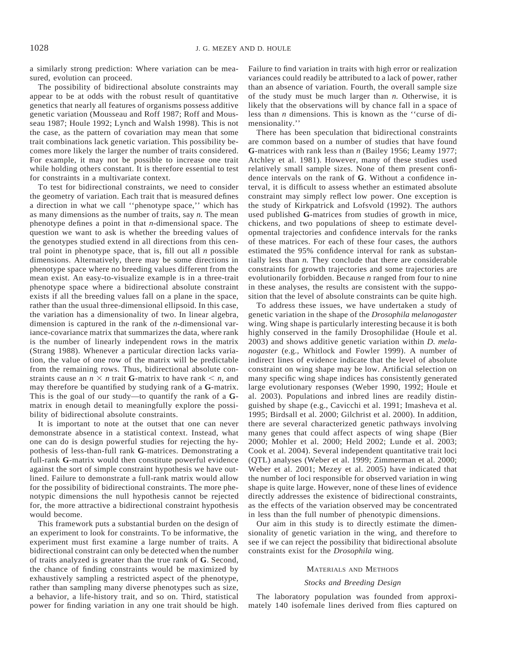a similarly strong prediction: Where variation can be measured, evolution can proceed.

The possibility of bidirectional absolute constraints may appear to be at odds with the robust result of quantitative genetics that nearly all features of organisms possess additive genetic variation (Mousseau and Roff 1987; Roff and Mousseau 1987; Houle 1992; Lynch and Walsh 1998). This is not the case, as the pattern of covariation may mean that some trait combinations lack genetic variation. This possibility becomes more likely the larger the number of traits considered. For example, it may not be possible to increase one trait while holding others constant. It is therefore essential to test for constraints in a multivariate context.

To test for bidirectional constraints, we need to consider the geometry of variation. Each trait that is measured defines a direction in what we call ''phenotype space,'' which has as many dimensions as the number of traits, say *n.* The mean phenotype defines a point in that *n*-dimensional space. The question we want to ask is whether the breeding values of the genotypes studied extend in all directions from this central point in phenotype space, that is, fill out all *n* possible dimensions. Alternatively, there may be some directions in phenotype space where no breeding values different from the mean exist. An easy-to-visualize example is in a three-trait phenotype space where a bidirectional absolute constraint exists if all the breeding values fall on a plane in the space, rather than the usual three-dimensional ellipsoid. In this case, the variation has a dimensionality of two. In linear algebra, dimension is captured in the rank of the *n*-dimensional variance-covariance matrix that summarizes the data, where rank is the number of linearly independent rows in the matrix (Strang 1988). Whenever a particular direction lacks variation, the value of one row of the matrix will be predictable from the remaining rows. Thus, bidirectional absolute constraints cause an  $n \times n$  trait **G**-matrix to have rank  $\leq n$ , and may therefore be quantified by studying rank of a **G**-matrix. This is the goal of our study—to quantify the rank of a **G**matrix in enough detail to meaningfully explore the possibility of bidirectional absolute constraints.

It is important to note at the outset that one can never demonstrate absence in a statistical context. Instead, what one can do is design powerful studies for rejecting the hypothesis of less-than-full rank **G**-matrices. Demonstrating a full-rank **G**-matrix would then constitute powerful evidence against the sort of simple constraint hypothesis we have outlined. Failure to demonstrate a full-rank matrix would allow for the possibility of bidirectional constraints. The more phenotypic dimensions the null hypothesis cannot be rejected for, the more attractive a bidirectional constraint hypothesis would become.

This framework puts a substantial burden on the design of an experiment to look for constraints. To be informative, the experiment must first examine a large number of traits. A bidirectional constraint can only be detected when the number of traits analyzed is greater than the true rank of **G**. Second, the chance of finding constraints would be maximized by exhaustively sampling a restricted aspect of the phenotype, rather than sampling many diverse phenotypes such as size, a behavior, a life-history trait, and so on. Third, statistical power for finding variation in any one trait should be high. Failure to find variation in traits with high error or realization variances could readily be attributed to a lack of power, rather than an absence of variation. Fourth, the overall sample size of the study must be much larger than *n.* Otherwise, it is likely that the observations will by chance fall in a space of less than *n* dimensions. This is known as the ''curse of dimensionality.''

There has been speculation that bidirectional constraints are common based on a number of studies that have found **G**-matrices with rank less than *n* (Bailey 1956; Leamy 1977; Atchley et al. 1981). However, many of these studies used relatively small sample sizes. None of them present confidence intervals on the rank of **G**. Without a confidence interval, it is difficult to assess whether an estimated absolute constraint may simply reflect low power. One exception is the study of Kirkpatrick and Lofsvold (1992). The authors used published **G**-matrices from studies of growth in mice, chickens, and two populations of sheep to estimate developmental trajectories and confidence intervals for the ranks of these matrices. For each of these four cases, the authors estimated the 95% confidence interval for rank as substantially less than *n.* They conclude that there are considerable constraints for growth trajectories and some trajectories are evolutionarily forbidden. Because *n* ranged from four to nine in these analyses, the results are consistent with the supposition that the level of absolute constraints can be quite high.

To address these issues, we have undertaken a study of genetic variation in the shape of the *Drosophila melanogaster* wing. Wing shape is particularly interesting because it is both highly conserved in the family Drosophilidae (Houle et al. 2003) and shows additive genetic variation within *D. melanogaster* (e.g., Whitlock and Fowler 1999). A number of indirect lines of evidence indicate that the level of absolute constraint on wing shape may be low. Artificial selection on many specific wing shape indices has consistently generated large evolutionary responses (Weber 1990, 1992; Houle et al. 2003). Populations and inbred lines are readily distinguished by shape (e.g., Cavicchi et al. 1991; Imasheva et al. 1995; Birdsall et al. 2000; Gilchrist et al. 2000). In addition, there are several characterized genetic pathways involving many genes that could affect aspects of wing shape (Bier 2000; Mohler et al. 2000; Held 2002; Lunde et al. 2003; Cook et al. 2004). Several independent quantitative trait loci (QTL) analyses (Weber et al. 1999; Zimmerman et al. 2000; Weber et al. 2001; Mezey et al. 2005) have indicated that the number of loci responsible for observed variation in wing shape is quite large. However, none of these lines of evidence directly addresses the existence of bidirectional constraints, as the effects of the variation observed may be concentrated in less than the full number of phenotypic dimensions.

Our aim in this study is to directly estimate the dimensionality of genetic variation in the wing, and therefore to see if we can reject the possibility that bidirectional absolute constraints exist for the *Drosophila* wing.

#### MATERIALS AND METHODS

## *Stocks and Breeding Design*

The laboratory population was founded from approximately 140 isofemale lines derived from flies captured on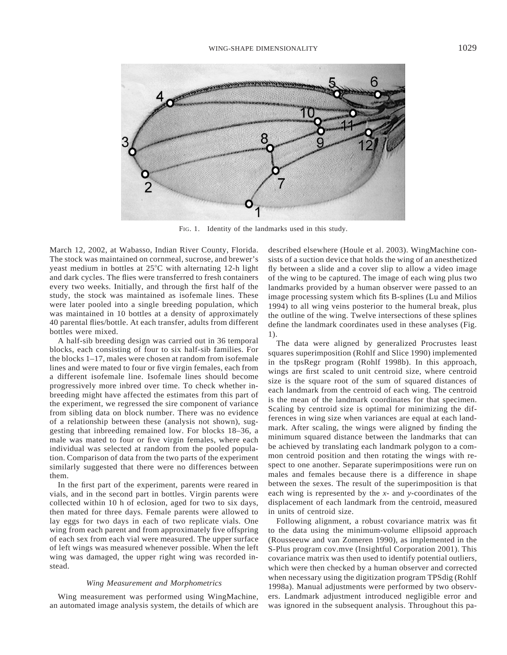

FIG. 1. Identity of the landmarks used in this study.

March 12, 2002, at Wabasso, Indian River County, Florida. The stock was maintained on cornmeal, sucrose, and brewer's yeast medium in bottles at  $25^{\circ}$ C with alternating 12-h light and dark cycles. The flies were transferred to fresh containers every two weeks. Initially, and through the first half of the study, the stock was maintained as isofemale lines. These were later pooled into a single breeding population, which was maintained in 10 bottles at a density of approximately 40 parental flies/bottle. At each transfer, adults from different bottles were mixed.

A half-sib breeding design was carried out in 36 temporal blocks, each consisting of four to six half-sib families. For the blocks 1–17, males were chosen at random from isofemale lines and were mated to four or five virgin females, each from a different isofemale line. Isofemale lines should become progressively more inbred over time. To check whether inbreeding might have affected the estimates from this part of the experiment, we regressed the sire component of variance from sibling data on block number. There was no evidence of a relationship between these (analysis not shown), suggesting that inbreeding remained low. For blocks 18–36, a male was mated to four or five virgin females, where each individual was selected at random from the pooled population. Comparison of data from the two parts of the experiment similarly suggested that there were no differences between them.

In the first part of the experiment, parents were reared in vials, and in the second part in bottles. Virgin parents were collected within 10 h of eclosion, aged for two to six days, then mated for three days. Female parents were allowed to lay eggs for two days in each of two replicate vials. One wing from each parent and from approximately five offspring of each sex from each vial were measured. The upper surface of left wings was measured whenever possible. When the left wing was damaged, the upper right wing was recorded instead.

## *Wing Measurement and Morphometrics*

Wing measurement was performed using WingMachine, an automated image analysis system, the details of which are described elsewhere (Houle et al. 2003). WingMachine consists of a suction device that holds the wing of an anesthetized fly between a slide and a cover slip to allow a video image of the wing to be captured. The image of each wing plus two landmarks provided by a human observer were passed to an image processing system which fits B-splines (Lu and Milios 1994) to all wing veins posterior to the humeral break, plus the outline of the wing. Twelve intersections of these splines define the landmark coordinates used in these analyses (Fig. 1).

The data were aligned by generalized Procrustes least squares superimposition (Rohlf and Slice 1990) implemented in the tpsRegr program (Rohlf 1998b). In this approach, wings are first scaled to unit centroid size, where centroid size is the square root of the sum of squared distances of each landmark from the centroid of each wing. The centroid is the mean of the landmark coordinates for that specimen. Scaling by centroid size is optimal for minimizing the differences in wing size when variances are equal at each landmark. After scaling, the wings were aligned by finding the minimum squared distance between the landmarks that can be achieved by translating each landmark polygon to a common centroid position and then rotating the wings with respect to one another. Separate superimpositions were run on males and females because there is a difference in shape between the sexes. The result of the superimposition is that each wing is represented by the *x*- and *y*-coordinates of the displacement of each landmark from the centroid, measured in units of centroid size.

Following alignment, a robust covariance matrix was fit to the data using the minimum-volume ellipsoid approach (Rousseeuw and van Zomeren 1990), as implemented in the S-Plus program cov.mve (Insightful Corporation 2001). This covariance matrix was then used to identify potential outliers, which were then checked by a human observer and corrected when necessary using the digitization program TPSdig (Rohlf 1998a). Manual adjustments were performed by two observers. Landmark adjustment introduced negligible error and was ignored in the subsequent analysis. Throughout this pa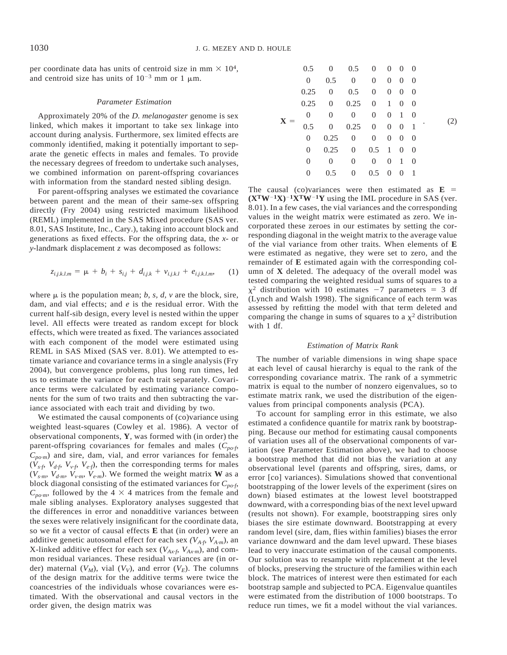per coordinate data has units of centroid size in mm  $\times$  10<sup>4</sup>, and centroid size has units of  $10^{-3}$  mm or 1  $\mu$ m.

#### *Parameter Estimation*

Approximately 20% of the *D. melanogaster* genome is sex linked, which makes it important to take sex linkage into account during analysis. Furthermore, sex limited effects are commonly identified, making it potentially important to separate the genetic effects in males and females. To provide the necessary degrees of freedom to undertake such analyses, we combined information on parent-offspring covariances with information from the standard nested sibling design.

For parent-offspring analyses we estimated the covariance between parent and the mean of their same-sex offspring directly (Fry 2004) using restricted maximum likelihood (REML) implemented in the SAS Mixed procedure (SAS ver. 8.01, SAS Institute, Inc., Cary.), taking into account block and generations as fixed effects. For the offspring data, the *x*- or *y*-landmark displacement *z* was decomposed as follows:

$$
z_{i,j,k,l,m} = \mu + b_i + s_{i,j} + d_{i,j,k} + v_{i,j,k,l} + e_{i,j,k,l,m}, \qquad (1)
$$

where  $\mu$  is the population mean; *b*, *s*, *d*, *v* are the block, sire, dam, and vial effects; and *e* is the residual error. With the current half-sib design, every level is nested within the upper level. All effects were treated as random except for block effects, which were treated as fixed. The variances associated with each component of the model were estimated using REML in SAS Mixed (SAS ver. 8.01). We attempted to estimate variance and covariance terms in a single analysis (Fry 2004), but convergence problems, plus long run times, led us to estimate the variance for each trait separately. Covariance terms were calculated by estimating variance components for the sum of two traits and then subtracting the variance associated with each trait and dividing by two.

We estimated the causal components of (co)variance using weighted least-squares (Cowley et al. 1986). A vector of observational components, **Y**, was formed with (in order) the parent-offspring covariances for females and males  $(C_{po}$ *Cpo·m*) and sire, dam, vial, and error variances for females  $(V_{s.f}, V_{d.f}, V_{v.f}, V_{e.f})$ , then the corresponding terms for males  $(V_{s\cdot m}, V_{d\cdot m}, V_{v\cdot m}, V_{e\cdot m})$ . We formed the weight matrix **W** as a block diagonal consisting of the estimated variances for *Cpo·f,*  $C_{po\text{-}m}$ , followed by the 4  $\times$  4 matrices from the female and male sibling analyses. Exploratory analyses suggested that the differences in error and nonadditive variances between the sexes were relatively insignificant for the coordinate data, so we fit a vector of causal effects **E** that (in order) were an additive genetic autosomal effect for each sex  $(V_{A\cdot f}, V_{A\cdot m})$ , an X-linked additive effect for each sex  $(V_{Ax}f, V_{Ax}m)$ , and common residual variances. These residual variances are (in order) maternal  $(V_M)$ , vial  $(V_V)$ , and error  $(V_E)$ . The columns of the design matrix for the additive terms were twice the coancestries of the individuals whose covariances were estimated. With the observational and causal vectors in the order given, the design matrix was

|  | 0.5            |                  | 0.5              | 0                | 0              |   |          |  |
|--|----------------|------------------|------------------|------------------|----------------|---|----------|--|
|  |                | 0.5              | 0                | $\boldsymbol{0}$ | $\overline{0}$ | 0 | $\theta$ |  |
|  | 0.25           | 0                | 0.5              | $\boldsymbol{0}$ | 0              | 0 | $\theta$ |  |
|  | 0.25           | $\boldsymbol{0}$ | 0.25             | 0                | 1              | 0 | $\theta$ |  |
|  | $\overline{0}$ | $\boldsymbol{0}$ | $\boldsymbol{0}$ | $\boldsymbol{0}$ | 0              | 1 | 0        |  |
|  | 0.5            | $\overline{0}$   | 0.25             | 0                | $\overline{0}$ | 0 | 1        |  |
|  | 0              | 0.25             | 0                | $\boldsymbol{0}$ | 0              | 0 | 0        |  |
|  | $\Omega$       | 0.25             | $\boldsymbol{0}$ | 0.5              | 1              | 0 | 0        |  |
|  | 0              | $\overline{0}$   | 0                | 0                | 0              | 1 | $\theta$ |  |
|  |                | 0.5              | 0                | 0.5              |                |   |          |  |

The causal (co)variances were then estimated as  $E =$  $(X^T W^{-1} X)^{-1} X^T W^{-1} Y$  using the IML procedure in SAS (ver. 8.01). In a few cases, the vial variances and the corresponding values in the weight matrix were estimated as zero. We incorporated these zeroes in our estimates by setting the corresponding diagonal in the weight matrix to the average value of the vial variance from other traits. When elements of **E** were estimated as negative, they were set to zero, and the remainder of **E** estimated again with the corresponding column of **X** deleted. The adequacy of the overall model was tested comparing the weighted residual sums of squares to a  $x^2$  distribution with 10 estimates -7 parameters = 3 df (Lynch and Walsh 1998). The significance of each term was assessed by refitting the model with that term deleted and comparing the change in sums of squares to a  $\chi^2$  distribution with 1 df.

## *Estimation of Matrix Rank*

The number of variable dimensions in wing shape space at each level of causal hierarchy is equal to the rank of the corresponding covariance matrix. The rank of a symmetric matrix is equal to the number of nonzero eigenvalues, so to estimate matrix rank, we used the distribution of the eigenvalues from principal components analysis (PCA).

To account for sampling error in this estimate, we also estimated a confidence quantile for matrix rank by bootstrapping. Because our method for estimating causal components of variation uses all of the observational components of variation (see Parameter Estimation above), we had to choose a bootstrap method that did not bias the variation at any observational level (parents and offspring, sires, dams, or error [co] variances). Simulations showed that conventional bootstrapping of the lower levels of the experiment (sires on down) biased estimates at the lowest level bootstrapped downward, with a corresponding bias of the next level upward (results not shown). For example, bootstrapping sires only biases the sire estimate downward. Bootstrapping at every random level (sire, dam, flies within families) biases the error variance downward and the dam level upward. These biases lead to very inaccurate estimation of the causal components. Our solution was to resample with replacement at the level of blocks, preserving the structure of the families within each block. The matrices of interest were then estimated for each bootstrap sample and subjected to PCA. Eigenvalue quantiles were estimated from the distribution of 1000 bootstraps. To reduce run times, we fit a model without the vial variances.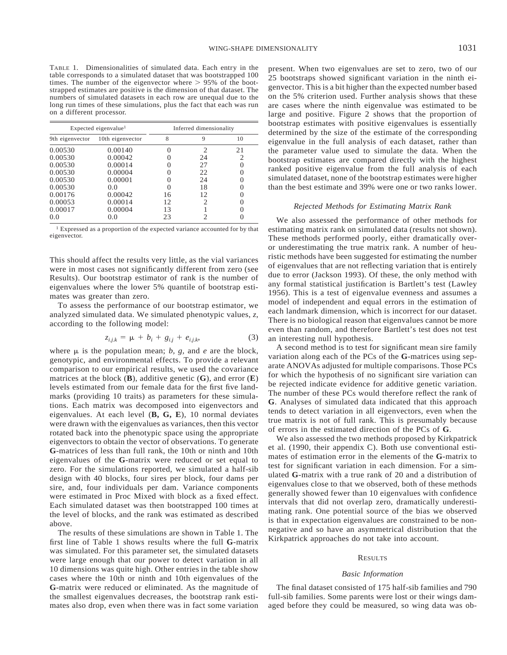TABLE 1. Dimensionalities of simulated data. Each entry in the table corresponds to a simulated dataset that was bootstrapped 100 times. The number of the eigenvector where  $> 95\%$  of the bootstrapped estimates are positive is the dimension of that dataset. The numbers of simulated datasets in each row are unequal due to the long run times of these simulations, plus the fact that each was run on a different processor.

|                 | Expected eigenvalue <sup>1</sup> | Inferred dimensionality |    |    |  |  |
|-----------------|----------------------------------|-------------------------|----|----|--|--|
| 9th eigenvector | 10th eigenvector                 | 8                       | 9  | 10 |  |  |
| 0.00530         | 0.00140                          |                         | 2  | 21 |  |  |
| 0.00530         | 0.00042                          |                         | 24 |    |  |  |
| 0.00530         | 0.00014                          |                         | 27 |    |  |  |
| 0.00530         | 0.00004                          |                         | 22 |    |  |  |
| 0.00530         | 0.00001                          |                         | 24 |    |  |  |
| 0.00530         | 0.0                              |                         | 18 |    |  |  |
| 0.00176         | 0.00042                          | 16                      | 12 |    |  |  |
| 0.00053         | 0.00014                          | 12                      | 2  |    |  |  |
| 0.00017         | 0.00004                          | 13                      |    |    |  |  |
| 0.0             | 0.0                              | 23                      |    |    |  |  |

<sup>1</sup> Expressed as a proportion of the expected variance accounted for by that eigenvector.

This should affect the results very little, as the vial variances were in most cases not significantly different from zero (see Results). Our bootstrap estimator of rank is the number of eigenvalues where the lower 5% quantile of bootstrap estimates was greater than zero.

To assess the performance of our bootstrap estimator, we analyzed simulated data. We simulated phenotypic values, *z*, according to the following model:

$$
z_{i,j,k} = \mu + b_i + g_{i,j} + e_{i,j,k},
$$
 (3)

where  $\mu$  is the population mean; *b*, *g*, and *e* are the block, genotypic, and environmental effects. To provide a relevant comparison to our empirical results, we used the covariance matrices at the block (**B**), additive genetic (**G**), and error (**E**) levels estimated from our female data for the first five landmarks (providing 10 traits) as parameters for these simulations. Each matrix was decomposed into eigenvectors and eigenvalues. At each level (**B, G, E**), 10 normal deviates were drawn with the eigenvalues as variances, then this vector rotated back into the phenotypic space using the appropriate eigenvectors to obtain the vector of observations. To generate **G**-matrices of less than full rank, the 10th or ninth and 10th eigenvalues of the **G**-matrix were reduced or set equal to zero. For the simulations reported, we simulated a half-sib design with 40 blocks, four sires per block, four dams per sire, and, four individuals per dam. Variance components were estimated in Proc Mixed with block as a fixed effect. Each simulated dataset was then bootstrapped 100 times at the level of blocks, and the rank was estimated as described above.

The results of these simulations are shown in Table 1. The first line of Table 1 shows results where the full **G**-matrix was simulated. For this parameter set, the simulated datasets were large enough that our power to detect variation in all 10 dimensions was quite high. Other entries in the table show cases where the 10th or ninth and 10th eigenvalues of the **G**-matrix were reduced or eliminated. As the magnitude of the smallest eigenvalues decreases, the bootstrap rank estimates also drop, even when there was in fact some variation present. When two eigenvalues are set to zero, two of our 25 bootstraps showed significant variation in the ninth eigenvector. This is a bit higher than the expected number based on the 5% criterion used. Further analysis shows that these are cases where the ninth eigenvalue was estimated to be large and positive. Figure 2 shows that the proportion of bootstrap estimates with positive eigenvalues is essentially determined by the size of the estimate of the corresponding eigenvalue in the full analysis of each dataset, rather than the parameter value used to simulate the data. When the bootstrap estimates are compared directly with the highest ranked positive eigenvalue from the full analysis of each simulated dataset, none of the bootstrap estimates were higher than the best estimate and 39% were one or two ranks lower.

#### *Rejected Methods for Estimating Matrix Rank*

We also assessed the performance of other methods for estimating matrix rank on simulated data (results not shown). These methods performed poorly, either dramatically overor underestimating the true matrix rank. A number of heuristic methods have been suggested for estimating the number of eigenvalues that are not reflecting variation that is entirely due to error (Jackson 1993). Of these, the only method with any formal statistical justification is Bartlett's test (Lawley 1956). This is a test of eigenvalue evenness and assumes a model of independent and equal errors in the estimation of each landmark dimension, which is incorrect for our dataset. There is no biological reason that eigenvalues cannot be more even than random, and therefore Bartlett's test does not test an interesting null hypothesis.

A second method is to test for significant mean sire family variation along each of the PCs of the **G**-matrices using separate ANOVAs adjusted for multiple comparisons. Those PCs for which the hypothesis of no significant sire variation can be rejected indicate evidence for additive genetic variation. The number of these PCs would therefore reflect the rank of **G**. Analyses of simulated data indicated that this approach tends to detect variation in all eigenvectors, even when the true matrix is not of full rank. This is presumably because of errors in the estimated direction of the PCs of **G**.

We also assessed the two methods proposed by Kirkpatrick et al. (1990, their appendix C). Both use conventional estimates of estimation error in the elements of the **G**-matrix to test for significant variation in each dimension. For a simulated **G**-matrix with a true rank of 20 and a distribution of eigenvalues close to that we observed, both of these methods generally showed fewer than 10 eigenvalues with confidence intervals that did not overlap zero, dramatically underestimating rank. One potential source of the bias we observed is that in expectation eigenvalues are constrained to be nonnegative and so have an asymmetrical distribution that the Kirkpatrick approaches do not take into account.

#### **RESULTS**

#### *Basic Information*

The final dataset consisted of 175 half-sib families and 790 full-sib families. Some parents were lost or their wings damaged before they could be measured, so wing data was ob-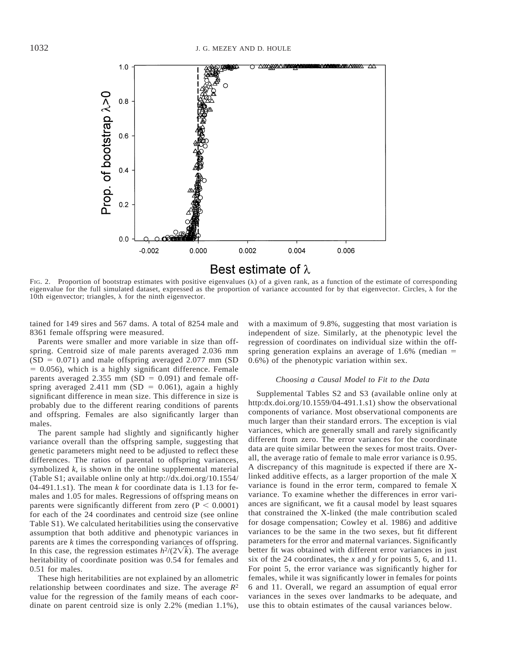

FIG. 2. Proportion of bootstrap estimates with positive eigenvalues  $(\lambda)$  of a given rank, as a function of the estimate of corresponding eigenvalue for the full simulated dataset, expressed as the proportion of variance accounted for by that eigenvector. Circles,  $\lambda$  for the 10th eigenvector; triangles,  $\lambda$  for the ninth eigenvector.

tained for 149 sires and 567 dams. A total of 8254 male and 8361 female offspring were measured.

Parents were smaller and more variable in size than offspring. Centroid size of male parents averaged 2.036 mm  $(SD = 0.071)$  and male offspring averaged 2.077 mm (SD)  $= 0.056$ ), which is a highly significant difference. Female parents averaged 2.355 mm (SD =  $0.091$ ) and female offspring averaged 2.411 mm (SD =  $0.061$ ), again a highly significant difference in mean size. This difference in size is probably due to the different rearing conditions of parents and offspring. Females are also significantly larger than males.

The parent sample had slightly and significantly higher variance overall than the offspring sample, suggesting that genetic parameters might need to be adjusted to reflect these differences. The ratios of parental to offspring variances, symbolized *k,* is shown in the online supplemental material (Table S1; available online only at http://dx.doi.org/10.1554/ 04-491.1.s1). The mean *k* for coordinate data is 1.13 for females and 1.05 for males. Regressions of offspring means on parents were significantly different from zero ( $P < 0.0001$ ) for each of the 24 coordinates and centroid size (see online Table S1). We calculated heritabilities using the conservative assumption that both additive and phenotypic variances in parents are *k* times the corresponding variances of offspring. In this case, the regression estimates  $h^2/(2\sqrt{k})$ . The average heritability of coordinate position was 0.54 for females and 0.51 for males.

These high heritabilities are not explained by an allometric relationship between coordinates and size. The average *R*<sup>2</sup> value for the regression of the family means of each coordinate on parent centroid size is only 2.2% (median 1.1%), with a maximum of 9.8%, suggesting that most variation is independent of size. Similarly, at the phenotypic level the regression of coordinates on individual size within the offspring generation explains an average of 1.6% (median  $=$ 0.6%) of the phenotypic variation within sex.

#### *Choosing a Causal Model to Fit to the Data*

Supplemental Tables S2 and S3 (available online only at http:dx.doi.org/10.1559/04-491.1.s1) show the observational components of variance. Most observational components are much larger than their standard errors. The exception is vial variances, which are generally small and rarely significantly different from zero. The error variances for the coordinate data are quite similar between the sexes for most traits. Overall, the average ratio of female to male error variance is 0.95. A discrepancy of this magnitude is expected if there are Xlinked additive effects, as a larger proportion of the male X variance is found in the error term, compared to female X variance. To examine whether the differences in error variances are significant, we fit a causal model by least squares that constrained the X-linked (the male contribution scaled for dosage compensation; Cowley et al. 1986) and additive variances to be the same in the two sexes, but fit different parameters for the error and maternal variances. Significantly better fit was obtained with different error variances in just six of the 24 coordinates, the *x* and *y* for points 5, 6, and 11. For point 5, the error variance was significantly higher for females, while it was significantly lower in females for points 6 and 11. Overall, we regard an assumption of equal error variances in the sexes over landmarks to be adequate, and use this to obtain estimates of the causal variances below.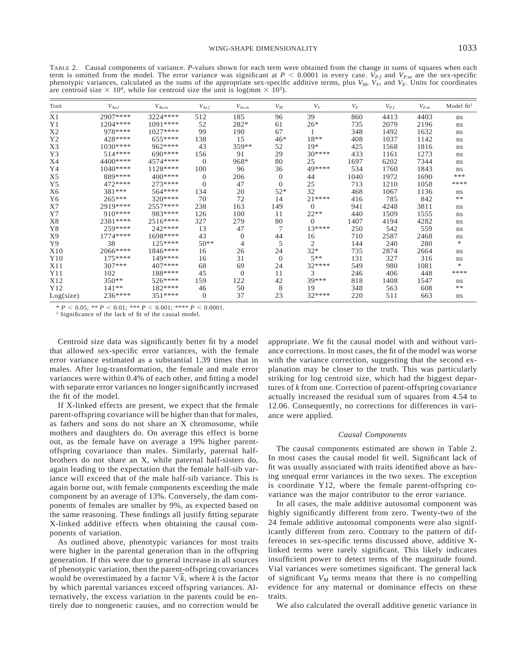TABLE 2. Causal components of variance. *P*-values shown for each term were obtained from the change in sums of squares when each term is omitted from the model. The error variance was significant at  $P < 0.0001$  in every case.  $V_{P,f}$  and  $V_{P,m}$  are the sex-specific phenotypic variances, calculated as the sums of the appropriate sex-specific additive terms, plus  $V_M$ ,  $V_V$ , and  $V_E$ . Units for coordinates are centroid size  $\times$  10<sup>4</sup>, while for centroid size the unit is log(mm  $\times$  10<sup>3</sup>).

| Trait          | $V_{Aa.f}$ | $V_{Aa,m}$ | $V_{Ax,f}$ | $V_{Ax,m}$ | $V_M$    | $V_V$          | $V_E$ | $V_{P.f}$ | $V_{P.m.}$ | Model $fit1$ |
|----------------|------------|------------|------------|------------|----------|----------------|-------|-----------|------------|--------------|
| X1             | 2907****   | 3224 ****  | 512        | 185        | 96       | 39             | 860   | 4413      | 4403       | ns           |
| Y1             | $1204***$  | $1091***$  | 52         | 282*       | 61       | $26*$          | 735   | 2079      | 2196       | ns           |
| X2             | 978****    | $1027***$  | 99         | 190        | 67       |                | 348   | 1492      | 1632       | ns           |
| Y2             | 428 ****   | 655****    | 138        | 15         | $46*$    | 18**           | 408   | 1037      | 1142       | ns           |
| X3             | 1030****   | 962 ****   | 43         | 359**      | 52       | $19*$          | 425   | 1568      | 1816       | ns           |
| Y3             | 514 ****   | 690****    | 156        | 91         | 29       | $30***$        | 433   | 1161      | 1273       | ns           |
| X4             | 4400****   | 4574 ****  | $\Omega$   | 968*       | 80       | 25             | 1697  | 6202      | 7344       | ns           |
| Y <sub>4</sub> | $1040***$  | $1128***$  | 100        | 96         | 36       | 49****         | 534   | 1760      | 1843       | ns           |
| X5             | 889****    | 400****    | $\Omega$   | 206        | $\theta$ | 44             | 1040  | 1972      | 1690       | ***          |
| Y5             | 472 ****   | 273 ****   | $\Omega$   | 47         | $\Omega$ | 25             | 713   | 1210      | 1058       | ****         |
| X6             | 381 ***    | 564 ****   | 134        | 20         | $52*$    | 32             | 468   | 1067      | 1136       | ns           |
| Y <sub>6</sub> | $265***$   | 320****    | 70         | 72         | 14       | $21***$        | 416   | 785       | 842        | $***$        |
| X7             | 2919****   | 2557****   | 238        | 163        | 149      | $\Omega$       | 941   | 4248      | 3811       | ns           |
| $Y$ 7          | 910****    | 983****    | 126        | 100        | 11       | $22**$         | 440   | 1509      | 1555       | ns           |
| X8             | 2381 ****  | $2516***$  | 327        | 279        | 80       | $\Omega$       | 1407  | 4194      | 4282       | ns           |
| Y8             | 259****    | $242***$   | 13         | 47         | 7        | $13***$        | 250   | 542       | 559        | ns           |
| X9             | $1774***$  | 1698****   | 43         | $\theta$   | 44       | 16             | 710   | 2587      | 2468       | ns           |
| Y9             | 38         | $125***$   | $50**$     |            | 5        | $\overline{c}$ | 144   | 240       | 280        | *            |
| X10            | 2066****   | 1846****   | 16         | 26         | 24       | $32*$          | 735   | 2874      | 2664       | ns           |
| Y10            | $175***$   | 149****    | 16         | 31         | $\theta$ | $5**$          | 131   | 327       | 316        | ns           |
| X11            | 307***     | $407***$   | 68         | 69         | 24       | $32***$        | 549   | 980       | 1081       | *            |
| Y11            | 102        | 188****    | 45         | $\Omega$   | 11       | 3              | 246   | 406       | 448        | ****         |
| X12            | $350**$    | 526****    | 159        | 122        | 42       | 39***          | 818   | 1408      | 1547       | ns           |
| Y12            | $141**$    | 182****    | 46         | 50         | 8        | 19             | 348   | 563       | 608        | $***$        |
| Log(size)      | 236****    | 351 ****   | $\Omega$   | 37         | 23       | 32 ****        | 220   | 511       | 663        | ns           |

\*  $P < 0.05$ ; \*\*  $P < 0.01$ ; \*\*\*  $P < 0.001$ ; \*\*\*\*  $P < 0.0001$ .<br><sup>1</sup> Significance of the lack of fit of the causal model.

Centroid size data was significantly better fit by a model that allowed sex-specific error variances, with the female error variance estimated as a substantial 1.39 times that in males. After log-transformation, the female and male error variances were within 0.4% of each other, and fitting a model with separate error variances no longer significantly increased the fit of the model.

If X-linked effects are present, we expect that the female parent-offspring covariance will be higher than that for males, as fathers and sons do not share an X chromosome, while mothers and daughters do. On average this effect is borne out, as the female have on average a 19% higher parentoffspring covariance than males. Similarly, paternal halfbrothers do not share an X, while paternal half-sisters do, again leading to the expectation that the female half-sib variance will exceed that of the male half-sib variance. This is again borne out, with female components exceeding the male component by an average of 13%. Conversely, the dam components of females are smaller by 9%, as expected based on the same reasoning. These findings all justify fitting separate X-linked additive effects when obtaining the causal components of variation.

As outlined above, phenotypic variances for most traits were higher in the parental generation than in the offspring generation. If this were due to general increase in all sources of phenotypic variation, then the parent-offspring covariances would be overestimated by a factor  $\sqrt{k}$ , where k is the factor by which parental variances exceed offspring variances. Alternatively, the excess variation in the parents could be entirely due to nongenetic causes, and no correction would be

appropriate. We fit the causal model with and without variance corrections. In most cases, the fit of the model was worse with the variance correction, suggesting that the second explanation may be closer to the truth. This was particularly striking for log centroid size, which had the biggest departures of *k* from one. Correction of parent-offspring covariance actually increased the residual sum of squares from 4.54 to 12.06. Consequently, no corrections for differences in variance were applied.

#### *Causal Components*

The causal components estimated are shown in Table 2. In most cases the causal model fit well. Significant lack of fit was usually associated with traits identified above as having unequal error variances in the two sexes. The exception is coordinate Y12, where the female parent-offspring covariance was the major contributor to the error variance.

In all cases, the male additive autosomal component was highly significantly different from zero. Twenty-two of the 24 female additive autosomal components were also significantly different from zero. Contrary to the pattern of differences in sex-specific terms discussed above, additive Xlinked terms were rarely significant. This likely indicates insufficient power to detect terms of the magnitude found. Vial variances were sometimes significant. The general lack of significant  $V_M$  terms means that there is no compelling evidence for any maternal or dominance effects on these traits.

We also calculated the overall additive genetic variance in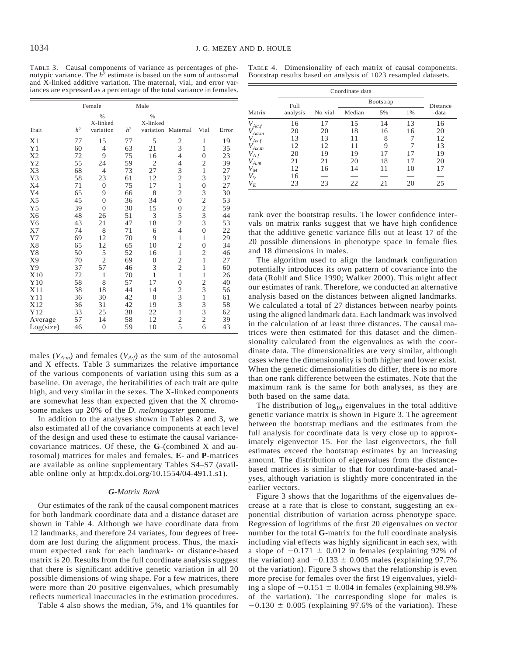TABLE 3. Causal components of variance as percentages of phenotypic variance. The *h*<sup>2</sup> estimate is based on the sum of autosomal and X-linked additive variation. The maternal, vial, and error variances are expressed as a percentage of the total variance in females.

|                | Female         |                            |                | Male                                   |                          |                                                   |       |
|----------------|----------------|----------------------------|----------------|----------------------------------------|--------------------------|---------------------------------------------------|-------|
| Trait          | h <sup>2</sup> | %<br>X-linked<br>variation | h <sup>2</sup> | $\frac{0}{6}$<br>X-linked<br>variation | Maternal                 | Vial                                              | Error |
| X1             | 77             | 15                         | 77             | 5                                      | $\overline{\mathbf{c}}$  | $\mathbf{1}$                                      | 19    |
| Y1             | 60             | $\overline{4}$             | 63             | 21                                     | 3                        | $\mathbf{1}$                                      | 35    |
| X2             | 72             | 9                          | 75             | 16                                     | $\overline{4}$           | $\overline{0}$                                    | 23    |
| Y2             | 55             | 24                         | 59             | $\mathfrak{2}$                         | $\overline{\mathcal{L}}$ | $\overline{c}$                                    | 39    |
| X3             | 68             | $\overline{4}$             | 73             | 27                                     | 3                        | $\,1$                                             | 27    |
| Y3             | 58             | 23                         | 61             | 12                                     | $\overline{c}$           | 3                                                 | 37    |
| X4             | 71             | $\overline{0}$             | 75             | 17                                     | $\mathbf{1}$             | $\overline{0}$                                    | 27    |
| Y4             | 65             | 9                          | 66             | 8                                      | $\overline{c}$           | 3                                                 | 30    |
| X5             | 45             | $\overline{0}$             | 36             | 34                                     | $\overline{0}$           |                                                   | 53    |
| Y5             | 39             | $\overline{0}$             | 30             | 15                                     | $\overline{0}$           |                                                   | 59    |
| X <sub>6</sub> | 48             | 26                         | 51             | 3                                      |                          | $\begin{array}{c}\n2 \\ 2 \\ 3 \\ 3\n\end{array}$ | 44    |
| Y6             | 43             | 21                         | 47             | 18                                     | $\frac{5}{2}$            |                                                   | 53    |
| X7             | 74             | 8                          | 71             | 6                                      | $\overline{4}$           | $\overline{0}$                                    | 22    |
| Y7             | 69             | 12                         | 70             | 9                                      | $\,1\,$                  | $\mathbf{1}$                                      | 29    |
| X8             | 65             | 12                         | 65             | 10                                     | $\frac{2}{1}$            | $\overline{0}$                                    | 34    |
| Y8             | 50             | 5                          | 52             | 16                                     |                          | $\overline{c}$                                    | 46    |
| X9             | 70             | $\overline{c}$             | 69             | $\overline{0}$                         |                          | $\mathbf{1}$                                      | 27    |
| Y9             | 37             | 57                         | 46             | 3                                      | $\frac{2}{2}$            | $\mathbf{1}$                                      | 60    |
| X10            | 72             | $\mathbf{1}$               | 70             | $\mathbf{1}$                           | $\mathbf{1}$             | $\mathbf{1}$                                      | 26    |
| Y10            | 58             | 8                          | 57             | 17                                     | $\overline{0}$           |                                                   | 40    |
| X11            | 38             | 18                         | 44             | 14                                     |                          | $\frac{2}{3}$                                     | 56    |
| Y11            | 36             | 30                         | 42             | $\boldsymbol{0}$                       |                          | $\mathbf{1}$                                      | 61    |
| X12            | 36             | 31                         | 42             | 19                                     | $\frac{2}{3}$            |                                                   | 58    |
| Y12            | 33             | 25                         | 38             | 22                                     | $\mathbf{1}$             | $\frac{3}{3}$                                     | 62    |
| Average        | 57             | 14                         | 58             | 12                                     | $rac{2}{5}$              | $\overline{2}$                                    | 39    |
| Log(size)      | 46             | $\overline{0}$             | 59             | 10                                     |                          | 6                                                 | 43    |

males  $(V_{A\cdot m})$  and females  $(V_{A\cdot f})$  as the sum of the autosomal and X effects. Table 3 summarizes the relative importance of the various components of variation using this sum as a baseline. On average, the heritabilities of each trait are quite high, and very similar in the sexes. The X-linked components are somewhat less than expected given that the X chromosome makes up 20% of the *D. melanogaster* genome.

In addition to the analyses shown in Tables 2 and 3, we also estimated all of the covariance components at each level of the design and used these to estimate the causal variancecovariance matrices. Of these, the **G**-(combined X and autosomal) matrices for males and females, **E**- and **P**-matrices are available as online supplementary Tables S4–S7 (available online only at http:dx.doi.org/10.1554/04-491.1.s1).

## *G-Matrix Rank*

Our estimates of the rank of the causal component matrices for both landmark coordinate data and a distance dataset are shown in Table 4. Although we have coordinate data from 12 landmarks, and therefore 24 variates, four degrees of freedom are lost during the alignment process. Thus, the maximum expected rank for each landmark- or distance-based matrix is 20. Results from the full coordinate analysis suggest that there is significant additive genetic variation in all 20 possible dimensions of wing shape. For a few matrices, there were more than 20 positive eigenvalues, which presumably reflects numerical inaccuracies in the estimation procedures.

Table 4 also shows the median, 5%, and 1% quantiles for

|            |          |         | Coordinate data   |          |    |      |
|------------|----------|---------|-------------------|----------|----|------|
|            | Full     |         | <b>B</b> ootstrap | Distance |    |      |
| Matrix     | analysis | No vial | Median            | 5%       | 1% | data |
| $V_{Aa,f}$ | 16       | 17      | 15                | 14       | 13 | 16   |
| $V_{Aa.m}$ | 20       | 20      | 18                | 16       | 16 | 20   |
| $V_{Ax,f}$ | 13       | 13      | 11                | 8        |    | 12   |
| $V_{Ax.m}$ | 12       | 12      | 11                | 9        |    | 13   |
| $V_{A,f}$  | 20       | 19      | 19                | 17       | 17 | 19   |
| $V_{A,m}$  | 21       | 21      | 20                | 18       | 17 | 20   |
| $V_M$      | 12       | 16      | 14                |          | 10 |      |

TABLE 4. Dimensionality of each matrix of causal components. Bootstrap results based on analysis of 1023 resampled datasets.

rank over the bootstrap results. The lower confidence intervals on matrix ranks suggest that we have high confidence that the additive genetic variance fills out at least 17 of the 20 possible dimensions in phenotype space in female flies and 18 dimensions in males.

*V<sub>V</sub>* 16 — — — — — — *VE* 23 23 22 21 20 25

The algorithm used to align the landmark configuration potentially introduces its own pattern of covariance into the data (Rohlf and Slice 1990; Walker 2000). This might affect our estimates of rank. Therefore, we conducted an alternative analysis based on the distances between aligned landmarks. We calculated a total of 27 distances between nearby points using the aligned landmark data. Each landmark was involved in the calculation of at least three distances. The causal matrices were then estimated for this dataset and the dimensionality calculated from the eigenvalues as with the coordinate data. The dimensionalities are very similar, although cases where the dimensionality is both higher and lower exist. When the genetic dimensionalities do differ, there is no more than one rank difference between the estimates. Note that the maximum rank is the same for both analyses, as they are both based on the same data.

The distribution of  $log_{10}$  eigenvalues in the total additive genetic variance matrix is shown in Figure 3. The agreement between the bootstrap medians and the estimates from the full analysis for coordinate data is very close up to approximately eigenvector 15. For the last eigenvectors, the full estimates exceed the bootstrap estimates by an increasing amount. The distribution of eigenvalues from the distancebased matrices is similar to that for coordinate-based analyses, although variation is slightly more concentrated in the earlier vectors.

Figure 3 shows that the logarithms of the eigenvalues decrease at a rate that is close to constant, suggesting an exponential distribution of variation across phenotype space. Regression of logrithms of the first 20 eigenvalues on vector number for the total **G**-matrix for the full coordinate analysis including vial effects was highly significant in each sex, with a slope of  $-0.171 \pm 0.012$  in females (explaining 92% of the variation) and  $-0.133 \pm 0.005$  males (explaining 97.7% of the variation). Figure 3 shows that the relationship is even more precise for females over the first 19 eigenvalues, yielding a slope of  $-0.151 \pm 0.004$  in females (explaining 98.9%) of the variation). The corresponding slope for males is  $-0.130 \pm 0.005$  (explaining 97.6% of the variation). These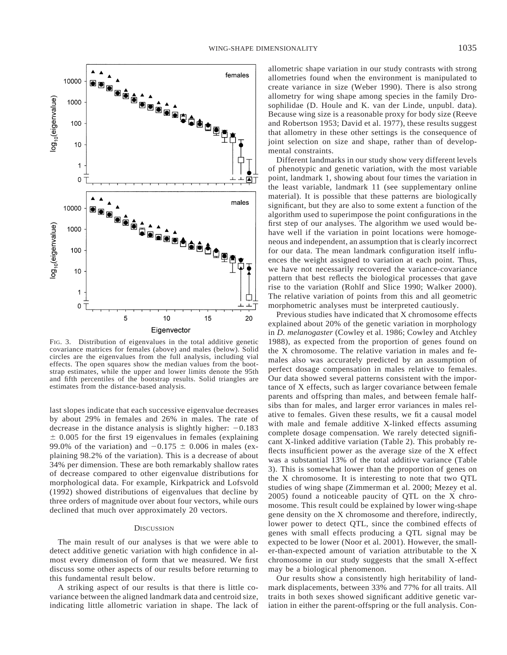

FIG. 3. Distribution of eigenvalues in the total additive genetic covariance matrices for females (above) and males (below). Solid circles are the eigenvalues from the full analysis, including vial effects. The open squares show the median values from the bootstrap estimates, while the upper and lower limits denote the 95th and fifth percentiles of the bootstrap results. Solid triangles are estimates from the distance-based analysis.

last slopes indicate that each successive eigenvalue decreases by about 29% in females and 26% in males. The rate of decrease in the distance analysis is slightly higher:  $-0.183$  $\pm$  0.005 for the first 19 eigenvalues in females (explaining 99.0% of the variation) and  $-0.175 \pm 0.006$  in males (explaining 98.2% of the variation). This is a decrease of about 34% per dimension. These are both remarkably shallow rates of decrease compared to other eigenvalue distributions for morphological data. For example, Kirkpatrick and Lofsvold (1992) showed distributions of eigenvalues that decline by three orders of magnitude over about four vectors, while ours declined that much over approximately 20 vectors.

## **DISCUSSION**

The main result of our analyses is that we were able to detect additive genetic variation with high confidence in almost every dimension of form that we measured. We first discuss some other aspects of our results before returning to this fundamental result below.

A striking aspect of our results is that there is little covariance between the aligned landmark data and centroid size, indicating little allometric variation in shape. The lack of allometric shape variation in our study contrasts with strong allometries found when the environment is manipulated to create variance in size (Weber 1990). There is also strong allometry for wing shape among species in the family Drosophilidae (D. Houle and K. van der Linde, unpubl. data). Because wing size is a reasonable proxy for body size (Reeve and Robertson 1953; David et al. 1977), these results suggest that allometry in these other settings is the consequence of joint selection on size and shape, rather than of developmental constraints.

Different landmarks in our study show very different levels of phenotypic and genetic variation, with the most variable point, landmark 1, showing about four times the variation in the least variable, landmark 11 (see supplementary online material). It is possible that these patterns are biologically significant, but they are also to some extent a function of the algorithm used to superimpose the point configurations in the first step of our analyses. The algorithm we used would behave well if the variation in point locations were homogeneous and independent, an assumption that is clearly incorrect for our data. The mean landmark configuration itself influences the weight assigned to variation at each point. Thus, we have not necessarily recovered the variance-covariance pattern that best reflects the biological processes that gave rise to the variation (Rohlf and Slice 1990; Walker 2000). The relative variation of points from this and all geometric morphometric analyses must be interpreted cautiously.

Previous studies have indicated that X chromosome effects explained about 20% of the genetic variation in morphology in *D. melanogaster* (Cowley et al. 1986; Cowley and Atchley 1988), as expected from the proportion of genes found on the X chromosome. The relative variation in males and females also was accurately predicted by an assumption of perfect dosage compensation in males relative to females. Our data showed several patterns consistent with the importance of X effects, such as larger covariance between female parents and offspring than males, and between female halfsibs than for males, and larger error variances in males relative to females. Given these results, we fit a causal model with male and female additive X-linked effects assuming complete dosage compensation. We rarely detected significant X-linked additive variation (Table 2). This probably reflects insufficient power as the average size of the X effect was a substantial 13% of the total additive variance (Table 3). This is somewhat lower than the proportion of genes on the X chromosome. It is interesting to note that two QTL studies of wing shape (Zimmerman et al. 2000; Mezey et al. 2005) found a noticeable paucity of QTL on the X chromosome. This result could be explained by lower wing-shape gene density on the X chromosome and therefore, indirectly, lower power to detect QTL, since the combined effects of genes with small effects producing a QTL signal may be expected to be lower (Noor et al. 2001). However, the smaller-than-expected amount of variation attributable to the X chromosome in our study suggests that the small X-effect may be a biological phenomenon.

Our results show a consistently high heritability of landmark displacements, between 33% and 77% for all traits. All traits in both sexes showed significant additive genetic variation in either the parent-offspring or the full analysis. Con-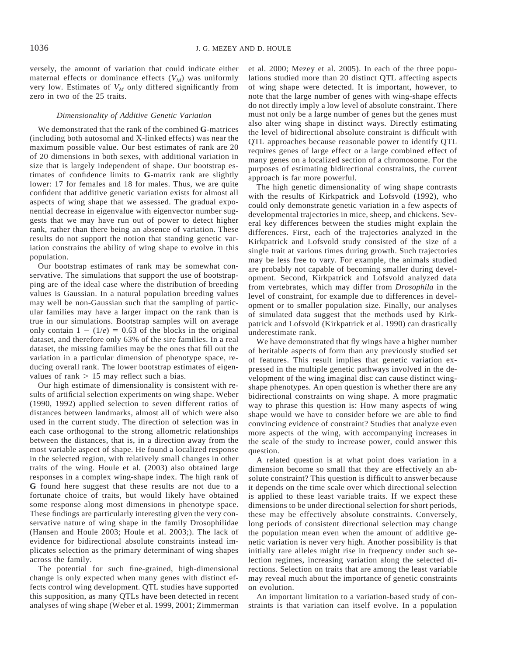versely, the amount of variation that could indicate either maternal effects or dominance effects  $(V_M)$  was uniformly very low. Estimates of  $V_M$  only differed significantly from zero in two of the 25 traits.

## *Dimensionality of Additive Genetic Variation*

We demonstrated that the rank of the combined **G**-matrices (including both autosomal and X-linked effects) was near the maximum possible value. Our best estimates of rank are 20 of 20 dimensions in both sexes, with additional variation in size that is largely independent of shape. Our bootstrap estimates of confidence limits to **G**-matrix rank are slightly lower: 17 for females and 18 for males. Thus, we are quite confident that additive genetic variation exists for almost all aspects of wing shape that we assessed. The gradual exponential decrease in eigenvalue with eigenvector number suggests that we may have run out of power to detect higher rank, rather than there being an absence of variation. These results do not support the notion that standing genetic variation constrains the ability of wing shape to evolve in this population.

Our bootstrap estimates of rank may be somewhat conservative. The simulations that support the use of bootstrapping are of the ideal case where the distribution of breeding values is Gaussian. In a natural population breeding values may well be non-Gaussian such that the sampling of particular families may have a larger impact on the rank than is true in our simulations. Bootstrap samples will on average only contain  $1 - (1/e) = 0.63$  of the blocks in the original dataset, and therefore only 63% of the sire families. In a real dataset, the missing families may be the ones that fill out the variation in a particular dimension of phenotype space, reducing overall rank. The lower bootstrap estimates of eigenvalues of rank  $> 15$  may reflect such a bias.

Our high estimate of dimensionality is consistent with results of artificial selection experiments on wing shape. Weber (1990, 1992) applied selection to seven different ratios of distances between landmarks, almost all of which were also used in the current study. The direction of selection was in each case orthogonal to the strong allometric relationships between the distances, that is, in a direction away from the most variable aspect of shape. He found a localized response in the selected region, with relatively small changes in other traits of the wing. Houle et al. (2003) also obtained large responses in a complex wing-shape index. The high rank of **G** found here suggest that these results are not due to a fortunate choice of traits, but would likely have obtained some response along most dimensions in phenotype space. These findings are particularly interesting given the very conservative nature of wing shape in the family Drosophilidae (Hansen and Houle 2003; Houle et al. 2003;). The lack of evidence for bidirectional absolute constraints instead implicates selection as the primary determinant of wing shapes across the family.

The potential for such fine-grained, high-dimensional change is only expected when many genes with distinct effects control wing development. QTL studies have supported this supposition, as many QTLs have been detected in recent analyses of wing shape (Weber et al. 1999, 2001; Zimmerman et al. 2000; Mezey et al. 2005). In each of the three populations studied more than 20 distinct QTL affecting aspects of wing shape were detected. It is important, however, to note that the large number of genes with wing-shape effects do not directly imply a low level of absolute constraint. There must not only be a large number of genes but the genes must also alter wing shape in distinct ways. Directly estimating the level of bidirectional absolute constraint is difficult with QTL approaches because reasonable power to identify QTL requires genes of large effect or a large combined effect of many genes on a localized section of a chromosome. For the purposes of estimating bidirectional constraints, the current approach is far more powerful.

The high genetic dimensionality of wing shape contrasts with the results of Kirkpatrick and Lofsvold (1992), who could only demonstrate genetic variation in a few aspects of developmental trajectories in mice, sheep, and chickens. Several key differences between the studies might explain the differences. First, each of the trajectories analyzed in the Kirkpatrick and Lofsvold study consisted of the size of a single trait at various times during growth. Such trajectories may be less free to vary. For example, the animals studied are probably not capable of becoming smaller during development. Second, Kirkpatrick and Lofsvold analyzed data from vertebrates, which may differ from *Drosophila* in the level of constraint, for example due to differences in development or to smaller population size. Finally, our analyses of simulated data suggest that the methods used by Kirkpatrick and Lofsvold (Kirkpatrick et al. 1990) can drastically underestimate rank.

We have demonstrated that fly wings have a higher number of heritable aspects of form than any previously studied set of features. This result implies that genetic variation expressed in the multiple genetic pathways involved in the development of the wing imaginal disc can cause distinct wingshape phenotypes. An open question is whether there are any bidirectional constraints on wing shape. A more pragmatic way to phrase this question is: How many aspects of wing shape would we have to consider before we are able to find convincing evidence of constraint? Studies that analyze even more aspects of the wing, with accompanying increases in the scale of the study to increase power, could answer this question.

A related question is at what point does variation in a dimension become so small that they are effectively an absolute constraint? This question is difficult to answer because it depends on the time scale over which directional selection is applied to these least variable traits. If we expect these dimensions to be under directional selection for short periods, these may be effectively absolute constraints. Conversely, long periods of consistent directional selection may change the population mean even when the amount of additive genetic variation is never very high. Another possibility is that initially rare alleles might rise in frequency under such selection regimes, increasing variation along the selected directions. Selection on traits that are among the least variable may reveal much about the importance of genetic constraints on evolution.

An important limitation to a variation-based study of constraints is that variation can itself evolve. In a population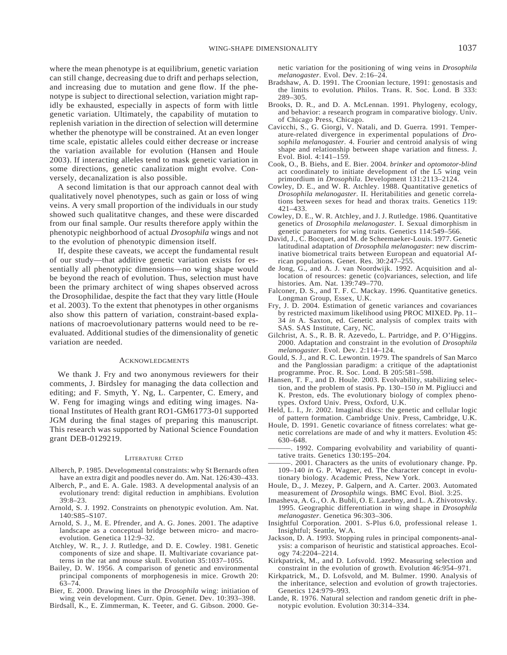where the mean phenotype is at equilibrium, genetic variation can still change, decreasing due to drift and perhaps selection, and increasing due to mutation and gene flow. If the phenotype is subject to directional selection, variation might rapidly be exhausted, especially in aspects of form with little genetic variation. Ultimately, the capability of mutation to replenish variation in the direction of selection will determine whether the phenotype will be constrained. At an even longer time scale, epistatic alleles could either decrease or increase the variation available for evolution (Hansen and Houle 2003). If interacting alleles tend to mask genetic variation in some directions, genetic canalization might evolve. Conversely, decanalization is also possible.

A second limitation is that our approach cannot deal with qualitatively novel phenotypes, such as gain or loss of wing veins. A very small proportion of the individuals in our study showed such qualitatitve changes, and these were discarded from our final sample. Our results therefore apply within the phenotypic neighborhood of actual *Drosophila* wings and not to the evolution of phenotypic dimension itself.

If, despite these caveats, we accept the fundamental result of our study—that additive genetic variation exists for essentially all phenotypic dimensions—no wing shape would be beyond the reach of evolution. Thus, selection must have been the primary architect of wing shapes observed across the Drosophilidae, despite the fact that they vary little (Houle et al. 2003). To the extent that phenotypes in other organisms also show this pattern of variation, constraint-based explanations of macroevolutionary patterns would need to be reevaluated. Additional studies of the dimensionality of genetic variation are needed.

#### **ACKNOWLEDGMENTS**

We thank J. Fry and two anonymous reviewers for their comments, J. Birdsley for managing the data collection and editing; and F. Smyth, Y. Ng, L. Carpenter, C. Emery, and W. Feng for imaging wings and editing wing images. National Institutes of Health grant RO1-GM61773-01 supported JGM during the final stages of preparing this manuscript. This research was supported by National Science Foundation grant DEB-0129219.

#### LITERATURE CITED

- Alberch, P. 1985. Developmental constraints: why St Bernards often have an extra digit and poodles never do. Am. Nat. 126:430–433.
- Alberch, P., and E. A. Gale. 1983. A developmental analysis of an evolutionary trend: digital reduction in amphibians. Evolution 39:8–23.
- Arnold, S. J. 1992. Constraints on phenotypic evolution. Am. Nat. 140:S85–S107.
- Arnold, S. J., M. E. Pfrender, and A. G. Jones. 2001. The adaptive landscape as a conceptual bridge between micro- and macroevolution. Genetica 112:9–32.
- Atchley, W. R., J. J. Rutledge, and D. E. Cowley. 1981. Genetic components of size and shape. II. Multivariate covariance patterns in the rat and mouse skull. Evolution 35:1037–1055.
- Bailey, D. W. 1956. A comparison of genetic and environmental principal components of morphogenesis in mice. Growth 20: 63–74.
- Bier, E. 2000. Drawing lines in the *Drosophila* wing: initiation of wing vein development. Curr. Opin. Genet. Dev. 10:393–398.
- Birdsall, K., E. Zimmerman, K. Teeter, and G. Gibson. 2000. Ge-

netic variation for the positioning of wing veins in *Drosophila melanogaster*. Evol. Dev. 2:16–24.

- Bradshaw, A. D. 1991. The Croonian lecture, 1991: genostasis and the limits to evolution. Philos. Trans. R. Soc. Lond. B 333: 289–305.
- Brooks, D. R., and D. A. McLennan. 1991. Phylogeny, ecology, and behavior: a research program in comparative biology. Univ. of Chicago Press, Chicago.
- Cavicchi, S., G. Giorgi, V. Natali, and D. Guerra. 1991. Temperature-related divergence in experimental populations of *Drosophila melanogaster*. 4. Fourier and centroid analysis of wing shape and relationship between shape variation and fitness. J. Evol. Biol. 4:141–159.
- Cook, O., B. Biehs, and E. Bier. 2004. *brinker* and *optomotor-blind* act coordinately to initiate development of the L5 wing vein primordium in *Drosophila*. Development 131:2113–2124.
- Cowley, D. E., and W. R. Atchley. 1988. Quantitative genetics of *Drosophila melanogaster*. II. Heritabilities and genetic correlations between sexes for head and thorax traits. Genetics 119: 421–433.
- Cowley, D. E., W. R. Atchley, and J. J. Rutledge. 1986. Quantitative genetics of *Drosophila melanogaster*. I. Sexual dimorphism in genetic parameters for wing traits. Genetics 114:549–566.
- David, J., C. Bocquet, and M. de Scheemaeker-Louis. 1977. Genetic latitudinal adaptation of *Drosophila melanogaster*: new discriminative biometrical traits between European and equatorial African populations. Genet. Res. 30:247–255.
- de Jong, G., and A. J. van Noordwijk. 1992. Acquisition and allocation of resources: genetic (co)variances, selection, and life histories. Am. Nat. 139:749–770.
- Falconer, D. S., and T. F. C. Mackay. 1996. Quantitative genetics. Longman Group, Essex, U.K.
- Fry, J. D. 2004. Estimation of genetic variances and covariances by restricted maximum likelihood using PROC MIXED. Pp. 11– 34 *in* A. Saxton, ed. Genetic analysis of complex traits with SAS. SAS Institute, Cary, NC.
- Gilchrist, A. S., R. B. R. Azevedo, L. Partridge, and P. O'Higgins. 2000. Adaptation and constraint in the evolution of *Drosophila melanogaster*. Evol. Dev. 2:114–124.
- Gould, S. J., and R. C. Lewontin. 1979. The spandrels of San Marco and the Panglossian paradigm: a critique of the adaptationist programme. Proc. R. Soc. Lond. B 205:581–598.
- Hansen, T. F., and D. Houle. 2003. Evolvability, stabilizing selection, and the problem of stasis. Pp. 130–150 *in* M. Pigliucci and K. Preston, eds. The evolutionary biology of complex phenotypes. Oxford Univ. Press, Oxford, U.K.
- Held, L. I., Jr. 2002. Imaginal discs: the genetic and cellular logic of pattern formation. Cambridge Univ. Press, Cambridge, U.K.
- Houle, D. 1991. Genetic covariance of fitness correlates: what genetic correlations are made of and why it matters. Evolution 45: 630–648.
- -. 1992. Comparing evolvability and variability of quantitative traits. Genetics 130:195–204.
- . 2001. Characters as the units of evolutionary change. Pp. 109–140 *in* G. P. Wagner, ed. The character concept in evolutionary biology. Academic Press, New York.
- Houle, D., J. Mezey, P. Galpern, and A. Carter. 2003. Automated measurement of *Drosophila* wings. BMC Evol. Biol. 3:25.
- Imasheva, A. G., O. A. Bubli, O. E. Lazebny, and L. A. Zhivotovsky. 1995. Geographic differentiation in wing shape in *Drosophila melanogaster*. Genetica 96:303–306.
- Insightful Corporation. 2001. S-Plus 6.0, professional release 1. Insightful; Seattle, W.A.
- Jackson, D. A. 1993. Stopping rules in principal components-analysis: a comparison of heuristic and statistical approaches. Ecology 74:2204–2214.
- Kirkpatrick, M., and D. Lofsvold. 1992. Measuring selection and constraint in the evolution of growth. Evolution 46:954–971.
- Kirkpatrick, M., D. Lofsvold, and M. Bulmer. 1990. Analysis of the inheritance, selection and evolution of growth trajectories. Genetics 124:979–993.
- Lande, R. 1976. Natural selection and random genetic drift in phenotypic evolution. Evolution 30:314–334.